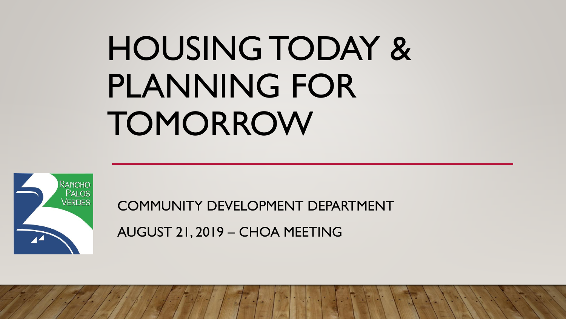# HOUSING TODAY & PLANNING FOR **TOMORROW**



COMMUNITY DEVELOPMENT DEPARTMENT

AUGUST 21, 2019 – CHOA MEETING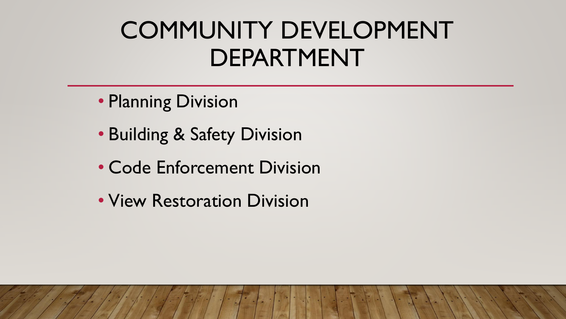## COMMUNITY DEVELOPMENT DEPARTMENT

- Planning Division
- Building & Safety Division
- Code Enforcement Division
- View Restoration Division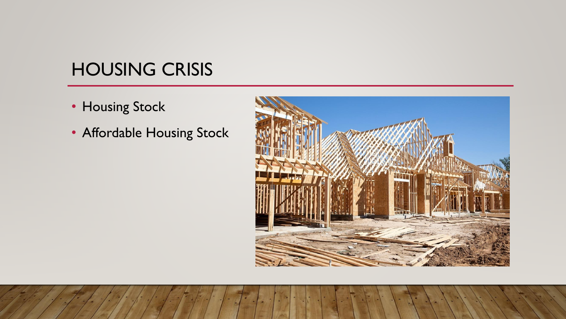### HOUSING CRISIS

- Housing Stock
- Affordable Housing Stock

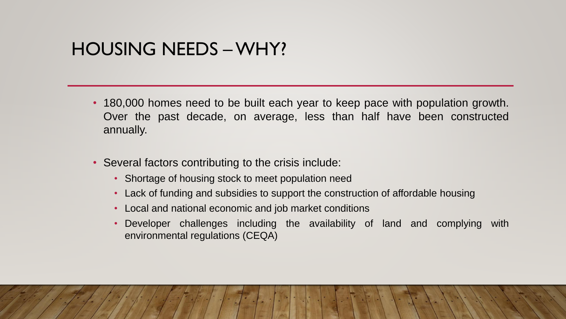#### HOUSING NEEDS –WHY?

- 180,000 homes need to be built each year to keep pace with population growth. Over the past decade, on average, less than half have been constructed annually.
- Several factors contributing to the crisis include:
	- Shortage of housing stock to meet population need
	- Lack of funding and subsidies to support the construction of affordable housing
	- Local and national economic and job market conditions
	- Developer challenges including the availability of land and complying with environmental regulations (CEQA)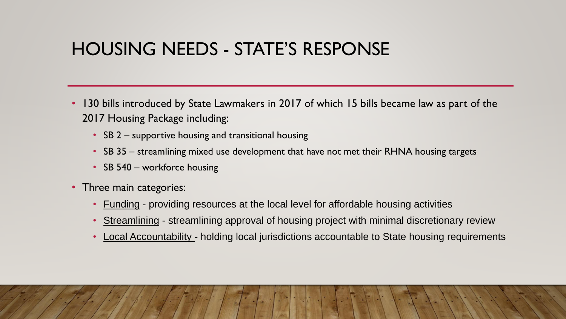### HOUSING NEEDS - STATE'S RESPONSE

- 130 bills introduced by State Lawmakers in 2017 of which 15 bills became law as part of the 2017 Housing Package including:
	- SB 2 supportive housing and transitional housing
	- SB 35 streamlining mixed use development that have not met their RHNA housing targets
	- SB 540 workforce housing
- Three main categories:
	- Funding providing resources at the local level for affordable housing activities
	- Streamlining streamlining approval of housing project with minimal discretionary review
	- Local Accountability holding local jurisdictions accountable to State housing requirements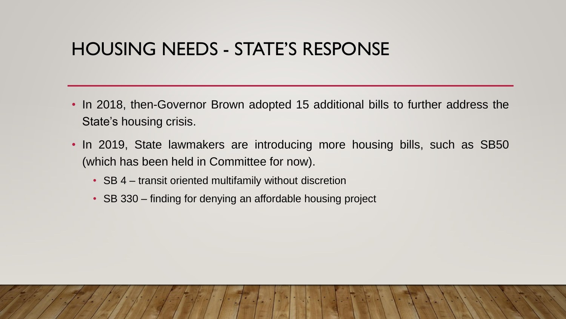#### HOUSING NEEDS - STATE'S RESPONSE

- In 2018, then-Governor Brown adopted 15 additional bills to further address the State's housing crisis.
- In 2019, State lawmakers are introducing more housing bills, such as SB50 (which has been held in Committee for now).
	- SB 4 transit oriented multifamily without discretion
	- SB 330 finding for denying an affordable housing project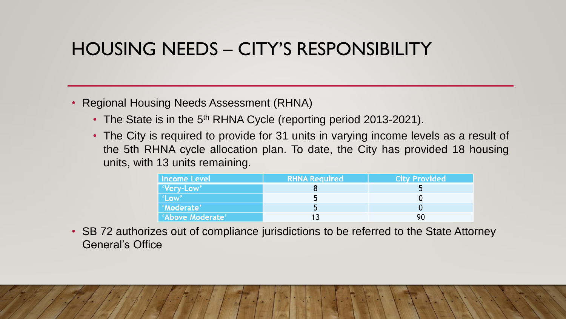### HOUSING NEEDS – CITY'S RESPONSIBILITY

#### • Regional Housing Needs Assessment (RHNA)

- The State is in the 5<sup>th</sup> RHNA Cycle (reporting period 2013-2021).
- The City is required to provide for 31 units in varying income levels as a result of the 5th RHNA cycle allocation plan. To date, the City has provided 18 housing units, with 13 units remaining.

| Income Level     | <b>RHNA Required</b> | <b>City Provided</b> |
|------------------|----------------------|----------------------|
| 'Very-Low'       |                      |                      |
| 'Low'            |                      |                      |
| 'Moderate'       |                      |                      |
| 'Above Moderate' |                      |                      |

• SB 72 authorizes out of compliance jurisdictions to be referred to the State Attorney General's Office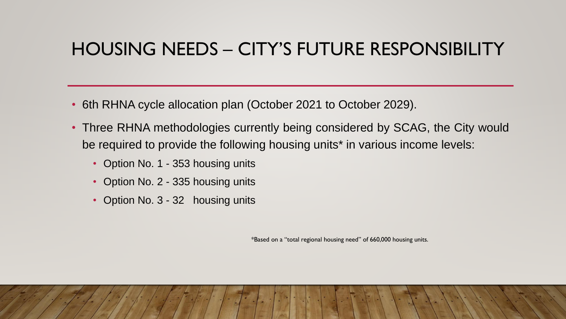### HOUSING NEEDS – CITY'S FUTURE RESPONSIBILITY

- 6th RHNA cycle allocation plan (October 2021 to October 2029).
- Three RHNA methodologies currently being considered by SCAG, the City would be required to provide the following housing units\* in various income levels:
	- Option No. 1 353 housing units
	- Option No. 2 335 housing units
	- Option No. 3 32 housing units

\*Based on a "total regional housing need" of 660,000 housing units.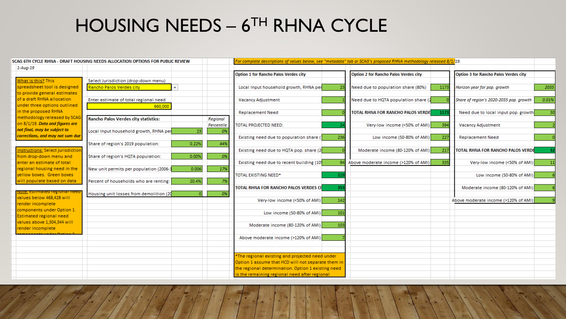## HOUSING NEEDS – 6 TH RHNA CYCLE

| SCAG 6TH CYCLE RHNA - DRAFT HOUSING NEEDS ALLOCATION OPTIONS FOR PUBLIC REVIEW | For complete descriptions of values below, see "metadata" tab or SCAG's proposed RHNA methodology released 8/1/19. |              |            |                                                    |     |                                              |      |                                              |       |
|--------------------------------------------------------------------------------|--------------------------------------------------------------------------------------------------------------------|--------------|------------|----------------------------------------------------|-----|----------------------------------------------|------|----------------------------------------------|-------|
| $1 - Aug - 19$                                                                 |                                                                                                                    |              |            |                                                    |     |                                              |      |                                              |       |
|                                                                                |                                                                                                                    |              |            | Option 1 for Rancho Palos Verdes city              |     | <b>Option 2 for Rancho Palos Verdes city</b> |      | <b>Option 3 for Rancho Palos Verdes city</b> |       |
| What is this? This                                                             | Select Jurisdiction (drop-down menu)                                                                               |              |            |                                                    |     |                                              |      |                                              |       |
| spreadsheet tool is designed                                                   | Rancho Palos Verdes city                                                                                           | $\mathbf{v}$ |            | Local Input household growth, RHNA per             |     | Need due to population share (80%)           | 1173 | Horizon year for pop. growth                 | 2035  |
| to provide general estimates                                                   |                                                                                                                    |              |            |                                                    |     |                                              |      |                                              |       |
| of a draft RHNA allocation                                                     | Enter estimate of total regional need                                                                              |              |            | <b>Vacancy Adjustment</b>                          |     | Need due to HQTA population share (2         |      | Share of region's 2020-2035 pop. growth      | 0.01% |
| under three options outlined                                                   | 660,000                                                                                                            |              |            |                                                    |     |                                              |      |                                              |       |
| in the proposed RHNA                                                           |                                                                                                                    |              |            | <b>Replacement Need</b>                            |     | TOTAL RHNA FOR RANCHO PALOS VERDE            | 1173 | Need due to local input pop. growth          | 30    |
| methodology released by SCAC                                                   | <b>Rancho Palos Verdes city statistics:</b>                                                                        |              | Regional   |                                                    |     |                                              |      |                                              |       |
| on 8/1/19. Data and figures are                                                |                                                                                                                    |              | Percentile | <b>TOTAL PROJECTED NEED:</b>                       |     | Very-low income (<50% of AMI)                | 394  | <b>Vacancy Adjustment</b>                    |       |
| not final, may be subject to                                                   | Local Input household growth, RHNA per                                                                             | 23           | 0%         |                                                    |     |                                              |      |                                              |       |
| corrections, and may not sum due                                               |                                                                                                                    |              |            | Existing need due to population share ()           | 236 | Low income (50-80% of AMI)                   | 227  | <b>Replacement Need</b>                      |       |
|                                                                                | Share of region's 2019 population:                                                                                 | 0.22%        | 44%        |                                                    |     |                                              |      |                                              |       |
| <u> Instructions:</u> Select jurisdictio                                       |                                                                                                                    |              |            | Existing need due to HQTA pop. share (2            |     | Moderate income (80-120% of AMI)             | 217  | <b>TOTAL RHNA FOR RANCHO PALOS VERDE</b>     |       |
| from drop-down menu and                                                        | Share of region's HQTA population:                                                                                 | 0.00%        | 0%         |                                                    |     |                                              |      |                                              |       |
| enter an estimate of total                                                     |                                                                                                                    |              |            | Existing need due to recent building (10)          |     | Above moderate income (>120% of AMI)         | 335  | Very-low income (<50% of AMI)                | 11    |
| regional housing need in the                                                   | New unit permits per population (2006-1                                                                            | 0.006        | 17%        |                                                    |     |                                              |      |                                              |       |
| vellow boxes. Green boxes                                                      |                                                                                                                    |              |            | TOTAL EXISTING NEED*                               |     |                                              |      | Low income (50-80% of AMI)                   |       |
| will populate based on data                                                    | Percent of households who are renting:                                                                             | 20.4%        |            |                                                    |     |                                              |      |                                              |       |
|                                                                                |                                                                                                                    |              |            | TOTAL RHNA FOR RANCHO PALOS VERDES CI              | 353 |                                              |      | Moderate income (80-120% of AMI)             |       |
| <u>vole, estimated regional neet</u><br>values below 468,428 will              | Housing unit losses from demolition (20                                                                            |              | 0%         |                                                    |     |                                              |      |                                              |       |
| render incomplete                                                              |                                                                                                                    |              |            | Very-low income (<50% of AMI)                      | 142 |                                              |      | Above moderate income (>120% of AMI)         |       |
| components under Option 1.                                                     |                                                                                                                    |              |            |                                                    |     |                                              |      |                                              |       |
| <b>Estimated regional need</b>                                                 |                                                                                                                    |              |            | Low income (50-80% of AMI)                         | 101 |                                              |      |                                              |       |
| values above 1,304,344 will                                                    |                                                                                                                    |              |            |                                                    |     |                                              |      |                                              |       |
| render incomplete                                                              |                                                                                                                    |              |            | Moderate income (80-120% of AMI)                   | 103 |                                              |      |                                              |       |
|                                                                                |                                                                                                                    |              |            |                                                    |     |                                              |      |                                              |       |
|                                                                                |                                                                                                                    |              |            | Above moderate income (>120% of AMI)               |     |                                              |      |                                              |       |
|                                                                                |                                                                                                                    |              |            |                                                    |     |                                              |      |                                              |       |
|                                                                                |                                                                                                                    |              |            |                                                    |     |                                              |      |                                              |       |
|                                                                                |                                                                                                                    |              |            | *The regional existing and projected need under    |     |                                              |      |                                              |       |
|                                                                                |                                                                                                                    |              |            | Option 1 assume that HCD will not separate them in |     |                                              |      |                                              |       |
|                                                                                |                                                                                                                    |              |            | the regional determination. Option 1 existing need |     |                                              |      |                                              |       |
|                                                                                |                                                                                                                    |              |            | is the remaining regional need after regional      |     |                                              |      |                                              |       |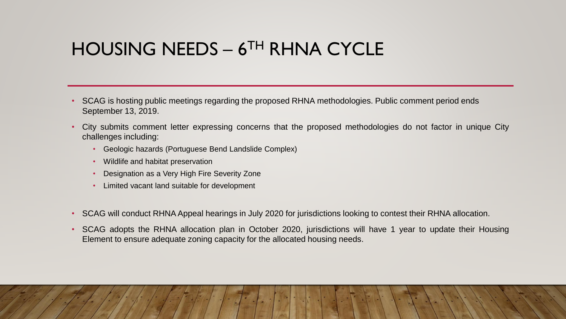#### HOUSING NEEDS – 6 TH RHNA CYCLE

- SCAG is hosting public meetings regarding the proposed RHNA methodologies. Public comment period ends September 13, 2019.
- City submits comment letter expressing concerns that the proposed methodologies do not factor in unique City challenges including:
	- Geologic hazards (Portuguese Bend Landslide Complex)
	- Wildlife and habitat preservation
	- Designation as a Very High Fire Severity Zone
	- Limited vacant land suitable for development
- SCAG will conduct RHNA Appeal hearings in July 2020 for jurisdictions looking to contest their RHNA allocation.
- SCAG adopts the RHNA allocation plan in October 2020, jurisdictions will have 1 year to update their Housing Element to ensure adequate zoning capacity for the allocated housing needs.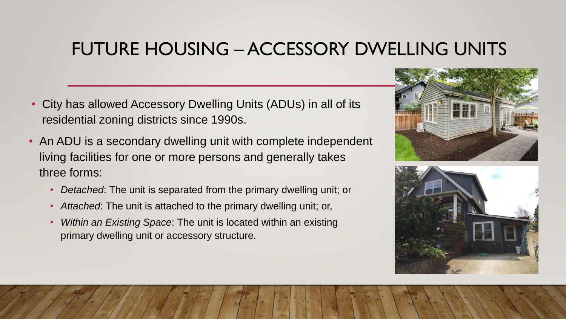- City has allowed Accessory Dwelling Units (ADUs) in all of its residential zoning districts since 1990s.
- An ADU is a secondary dwelling unit with complete independent living facilities for one or more persons and generally takes three forms:
	- *Detached*: The unit is separated from the primary dwelling unit; or
	- *Attached*: The unit is attached to the primary dwelling unit; or,
	- *Within an Existing Space*: The unit is located within an existing primary dwelling unit or accessory structure.



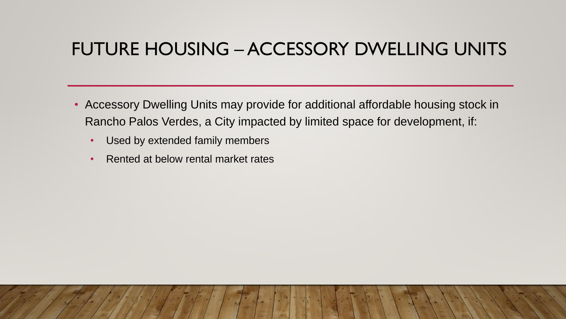- Accessory Dwelling Units may provide for additional affordable housing stock in Rancho Palos Verdes, a City impacted by limited space for development, if:
	- Used by extended family members
	- Rented at below rental market rates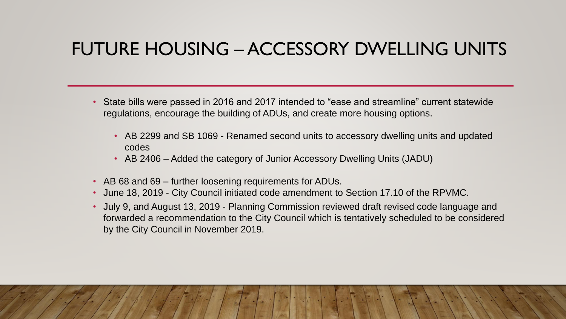- State bills were passed in 2016 and 2017 intended to "ease and streamline" current statewide regulations, encourage the building of ADUs, and create more housing options.
	- AB 2299 and SB 1069 Renamed second units to accessory dwelling units and updated codes
	- AB 2406 Added the category of Junior Accessory Dwelling Units (JADU)
- AB 68 and 69 further loosening requirements for ADUs.
- June 18, 2019 City Council initiated code amendment to Section 17.10 of the RPVMC.
- July 9, and August 13, 2019 Planning Commission reviewed draft revised code language and forwarded a recommendation to the City Council which is tentatively scheduled to be considered by the City Council in November 2019.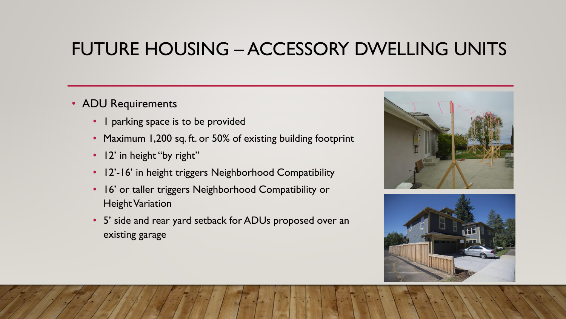#### • ADU Requirements

- I parking space is to be provided
- Maximum 1,200 sq. ft. or 50% of existing building footprint
- 12' in height "by right"
- 12'-16' in height triggers Neighborhood Compatibility
- 16' or taller triggers Neighborhood Compatibility or Height Variation
- 5' side and rear yard setback for ADUs proposed over an existing garage